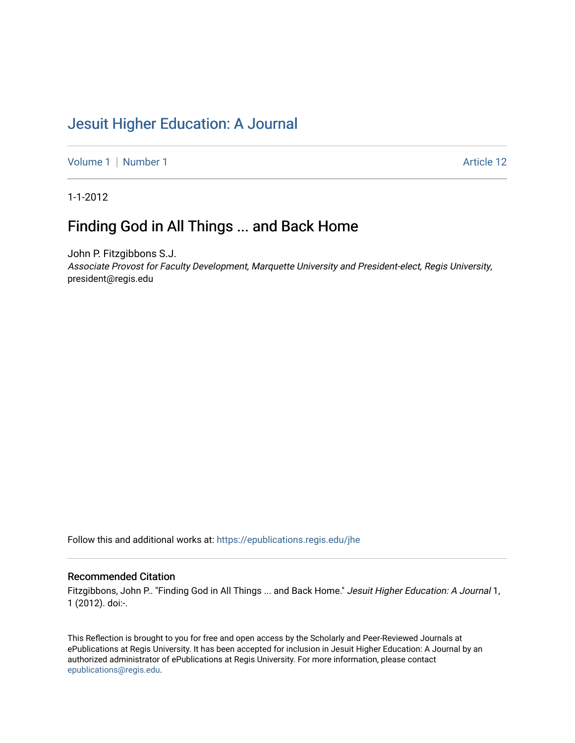# [Jesuit Higher Education: A Journal](https://epublications.regis.edu/jhe)

[Volume 1](https://epublications.regis.edu/jhe/vol1) | [Number 1](https://epublications.regis.edu/jhe/vol1/iss1) Article 12

1-1-2012

## Finding God in All Things ... and Back Home

John P. Fitzgibbons S.J. Associate Provost for Faculty Development, Marquette University and President-elect, Regis University, president@regis.edu

Follow this and additional works at: [https://epublications.regis.edu/jhe](https://epublications.regis.edu/jhe?utm_source=epublications.regis.edu%2Fjhe%2Fvol1%2Fiss1%2F12&utm_medium=PDF&utm_campaign=PDFCoverPages) 

#### Recommended Citation

Fitzgibbons, John P.. "Finding God in All Things ... and Back Home." Jesuit Higher Education: A Journal 1, 1 (2012). doi:-.

This Reflection is brought to you for free and open access by the Scholarly and Peer-Reviewed Journals at ePublications at Regis University. It has been accepted for inclusion in Jesuit Higher Education: A Journal by an authorized administrator of ePublications at Regis University. For more information, please contact [epublications@regis.edu.](mailto:epublications@regis.edu)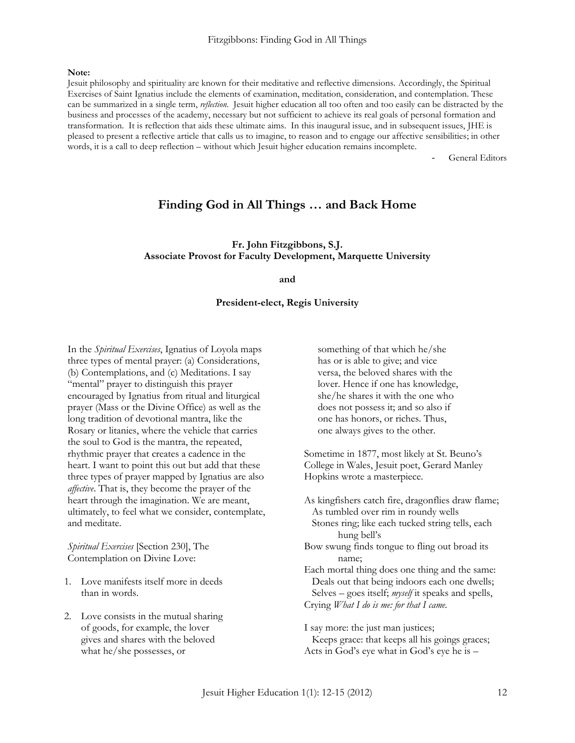## Fitzgibbons: Finding God in All Things

**Note:**

Jesuit philosophy and spirituality are known for their meditative and reflective dimensions. Accordingly, the Spiritual Exercises of Saint Ignatius include the elements of examination, meditation, consideration, and contemplation. These can be summarized in a single term, *reflection*. Jesuit higher education all too often and too easily can be distracted by the business and processes of the academy, necessary but not sufficient to achieve its real goals of personal formation and transformation. It is reflection that aids these ultimate aims. In this inaugural issue, and in subsequent issues, JHE is pleased to present a reflective article that calls us to imagine, to reason and to engage our affective sensibilities; in other words, it is a call to deep reflection – without which Jesuit higher education remains incomplete.

General Editors

## **Finding God in All Things … and Back Home**

## **Fr. John Fitzgibbons, S.J. Associate Provost for Faculty Development, Marquette University**

### **and**

### **President-elect, Regis University**

In the *Spiritual Exercises*, Ignatius of Loyola maps three types of mental prayer: (a) Considerations, (b) Contemplations, and (c) Meditations. I say "mental" prayer to distinguish this prayer encouraged by Ignatius from ritual and liturgical prayer (Mass or the Divine Office) as well as the long tradition of devotional mantra, like the Rosary or litanies, where the vehicle that carries the soul to God is the mantra, the repeated, rhythmic prayer that creates a cadence in the heart. I want to point this out but add that these three types of prayer mapped by Ignatius are also *affective*. That is, they become the prayer of the heart through the imagination. We are meant, ultimately, to feel what we consider, contemplate, and meditate.

*Spiritual Exercises* [Section 230], The Contemplation on Divine Love:

- 1. Love manifests itself more in deeds than in words.
- 2. Love consists in the mutual sharing of goods, for example, the lover gives and shares with the beloved what he/she possesses, or

something of that which he/she has or is able to give; and vice versa, the beloved shares with the lover. Hence if one has knowledge, she/he shares it with the one who does not possess it; and so also if one has honors, or riches. Thus, one always gives to the other.

Sometime in 1877, most likely at St. Beuno's College in Wales, Jesuit poet, Gerard Manley Hopkins wrote a masterpiece.

As kingfishers catch fire, dragonflies draw flame; As tumbled over rim in roundy wells Stones ring; like each tucked string tells, each hung bell"s Bow swung finds tongue to fling out broad its name; Each mortal thing does one thing and the same: Deals out that being indoors each one dwells; Selves – goes itself; *myself* it speaks and spells, Crying *What I do is me: for that I came.*

I say more: the just man justices; Keeps grace: that keeps all his goings graces; Acts in God's eye what in God's eye he is –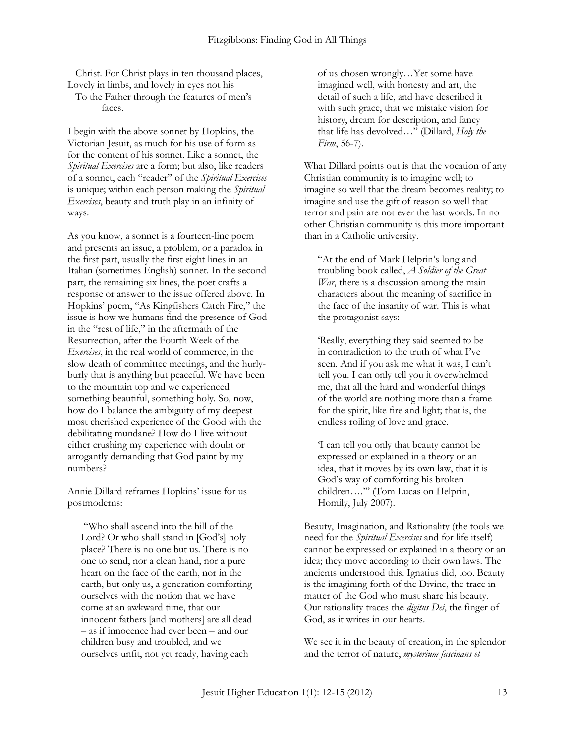Christ. For Christ plays in ten thousand places, Lovely in limbs, and lovely in eyes not his To the Father through the features of men"s

faces.

I begin with the above sonnet by Hopkins, the Victorian Jesuit, as much for his use of form as for the content of his sonnet. Like a sonnet, the *Spiritual Exercises* are a form; but also, like readers of a sonnet, each "reader" of the *Spiritual Exercises* is unique; within each person making the *Spiritual Exercises*, beauty and truth play in an infinity of ways.

As you know, a sonnet is a fourteen-line poem and presents an issue, a problem, or a paradox in the first part, usually the first eight lines in an Italian (sometimes English) sonnet. In the second part, the remaining six lines, the poet crafts a response or answer to the issue offered above. In Hopkins" poem, "As Kingfishers Catch Fire," the issue is how we humans find the presence of God in the "rest of life," in the aftermath of the Resurrection, after the Fourth Week of the *Exercises*, in the real world of commerce, in the slow death of committee meetings, and the hurlyburly that is anything but peaceful. We have been to the mountain top and we experienced something beautiful, something holy. So, now, how do I balance the ambiguity of my deepest most cherished experience of the Good with the debilitating mundane? How do I live without either crushing my experience with doubt or arrogantly demanding that God paint by my numbers?

Annie Dillard reframes Hopkins' issue for us postmoderns:

"Who shall ascend into the hill of the Lord? Or who shall stand in [God"s] holy place? There is no one but us. There is no one to send, nor a clean hand, nor a pure heart on the face of the earth, nor in the earth, but only us, a generation comforting ourselves with the notion that we have come at an awkward time, that our innocent fathers [and mothers] are all dead – as if innocence had ever been – and our children busy and troubled, and we ourselves unfit, not yet ready, having each

of us chosen wrongly…Yet some have imagined well, with honesty and art, the detail of such a life, and have described it with such grace, that we mistake vision for history, dream for description, and fancy that life has devolved…" (Dillard, *Holy the Firm*, 56-7).

What Dillard points out is that the vocation of any Christian community is to imagine well; to imagine so well that the dream becomes reality; to imagine and use the gift of reason so well that terror and pain are not ever the last words. In no other Christian community is this more important than in a Catholic university.

"At the end of Mark Helprin"s long and troubling book called, *A Soldier of the Great War*, there is a discussion among the main characters about the meaning of sacrifice in the face of the insanity of war. This is what the protagonist says:

"Really, everything they said seemed to be in contradiction to the truth of what I"ve seen. And if you ask me what it was, I can"t tell you. I can only tell you it overwhelmed me, that all the hard and wonderful things of the world are nothing more than a frame for the spirit, like fire and light; that is, the endless roiling of love and grace.

"I can tell you only that beauty cannot be expressed or explained in a theory or an idea, that it moves by its own law, that it is God"s way of comforting his broken children…."" (Tom Lucas on Helprin, Homily, July 2007).

Beauty, Imagination, and Rationality (the tools we need for the *Spiritual Exercises* and for life itself) cannot be expressed or explained in a theory or an idea; they move according to their own laws. The ancients understood this. Ignatius did, too. Beauty is the imagining forth of the Divine, the trace in matter of the God who must share his beauty. Our rationality traces the *digitus Dei*, the finger of God, as it writes in our hearts.

We see it in the beauty of creation, in the splendor and the terror of nature, *mysterium fascinans et*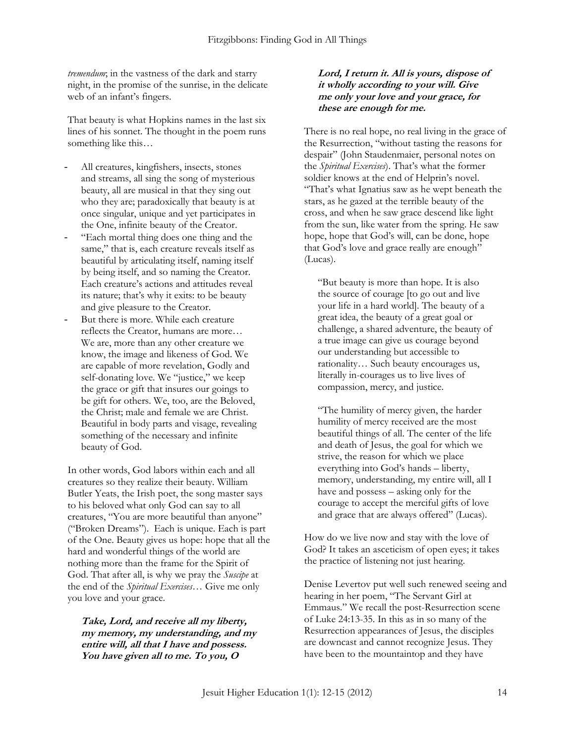*tremendum*; in the vastness of the dark and starry night, in the promise of the sunrise, in the delicate web of an infant's fingers.

That beauty is what Hopkins names in the last six lines of his sonnet. The thought in the poem runs something like this…

- All creatures, kingfishers, insects, stones and streams, all sing the song of mysterious beauty, all are musical in that they sing out who they are; paradoxically that beauty is at once singular, unique and yet participates in the One, infinite beauty of the Creator.
- "Each mortal thing does one thing and the same," that is, each creature reveals itself as beautiful by articulating itself, naming itself by being itself, and so naming the Creator. Each creature's actions and attitudes reveal its nature; that's why it exits: to be beauty and give pleasure to the Creator.
- But there is more. While each creature reflects the Creator, humans are more… We are, more than any other creature we know, the image and likeness of God. We are capable of more revelation, Godly and self-donating love. We "justice," we keep the grace or gift that insures our goings to be gift for others. We, too, are the Beloved, the Christ; male and female we are Christ. Beautiful in body parts and visage, revealing something of the necessary and infinite beauty of God.

In other words, God labors within each and all creatures so they realize their beauty. William Butler Yeats, the Irish poet, the song master says to his beloved what only God can say to all creatures, "You are more beautiful than anyone" ("Broken Dreams"). Each is unique. Each is part of the One. Beauty gives us hope: hope that all the hard and wonderful things of the world are nothing more than the frame for the Spirit of God. That after all, is why we pray the *Suscipe* at the end of the *Spiritual Exercises*… Give me only you love and your grace.

**Take, Lord, and receive all my liberty, my memory, my understanding, and my entire will, all that I have and possess. You have given all to me. To you, O** 

## **Lord, I return it. All is yours, dispose of it wholly according to your will. Give me only your love and your grace, for these are enough for me.**

There is no real hope, no real living in the grace of the Resurrection, "without tasting the reasons for despair" (John Staudenmaier, personal notes on the *Spiritual Exercises*). That"s what the former soldier knows at the end of Helprin's novel. "That"s what Ignatius saw as he wept beneath the stars, as he gazed at the terrible beauty of the cross, and when he saw grace descend like light from the sun, like water from the spring. He saw hope, hope that God"s will, can be done, hope that God"s love and grace really are enough" (Lucas).

"But beauty is more than hope. It is also the source of courage [to go out and live your life in a hard world]. The beauty of a great idea, the beauty of a great goal or challenge, a shared adventure, the beauty of a true image can give us courage beyond our understanding but accessible to rationality… Such beauty encourages us, literally in-courages us to live lives of compassion, mercy, and justice.

"The humility of mercy given, the harder humility of mercy received are the most beautiful things of all. The center of the life and death of Jesus, the goal for which we strive, the reason for which we place everything into God"s hands – liberty, memory, understanding, my entire will, all I have and possess – asking only for the courage to accept the merciful gifts of love and grace that are always offered" (Lucas).

How do we live now and stay with the love of God? It takes an asceticism of open eyes; it takes the practice of listening not just hearing.

Denise Levertov put well such renewed seeing and hearing in her poem, "The Servant Girl at Emmaus." We recall the post-Resurrection scene of Luke 24:13-35. In this as in so many of the Resurrection appearances of Jesus, the disciples are downcast and cannot recognize Jesus. They have been to the mountaintop and they have